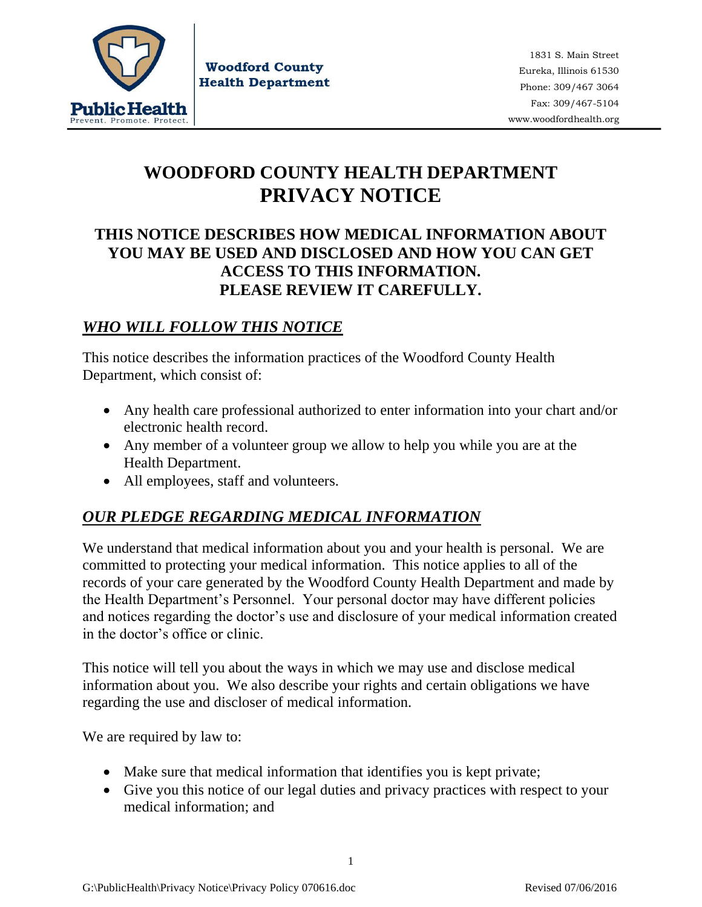

**Woodford County Health Department** 

1831 S. Main Street Eureka, Illinois 61530 Phone: 309/467 3064 Fax: 309/467-5104 www.woodfordhealth.org

# **WOODFORD COUNTY HEALTH DEPARTMENT PRIVACY NOTICE**

### **THIS NOTICE DESCRIBES HOW MEDICAL INFORMATION ABOUT YOU MAY BE USED AND DISCLOSED AND HOW YOU CAN GET ACCESS TO THIS INFORMATION. PLEASE REVIEW IT CAREFULLY.**

### *WHO WILL FOLLOW THIS NOTICE*

This notice describes the information practices of the Woodford County Health Department, which consist of:

- Any health care professional authorized to enter information into your chart and/or electronic health record.
- Any member of a volunteer group we allow to help you while you are at the Health Department.
- All employees, staff and volunteers.

## *OUR PLEDGE REGARDING MEDICAL INFORMATION*

We understand that medical information about you and your health is personal. We are committed to protecting your medical information. This notice applies to all of the records of your care generated by the Woodford County Health Department and made by the Health Department's Personnel. Your personal doctor may have different policies and notices regarding the doctor's use and disclosure of your medical information created in the doctor's office or clinic.

This notice will tell you about the ways in which we may use and disclose medical information about you. We also describe your rights and certain obligations we have regarding the use and discloser of medical information.

We are required by law to:

- Make sure that medical information that identifies you is kept private;
- Give you this notice of our legal duties and privacy practices with respect to your medical information; and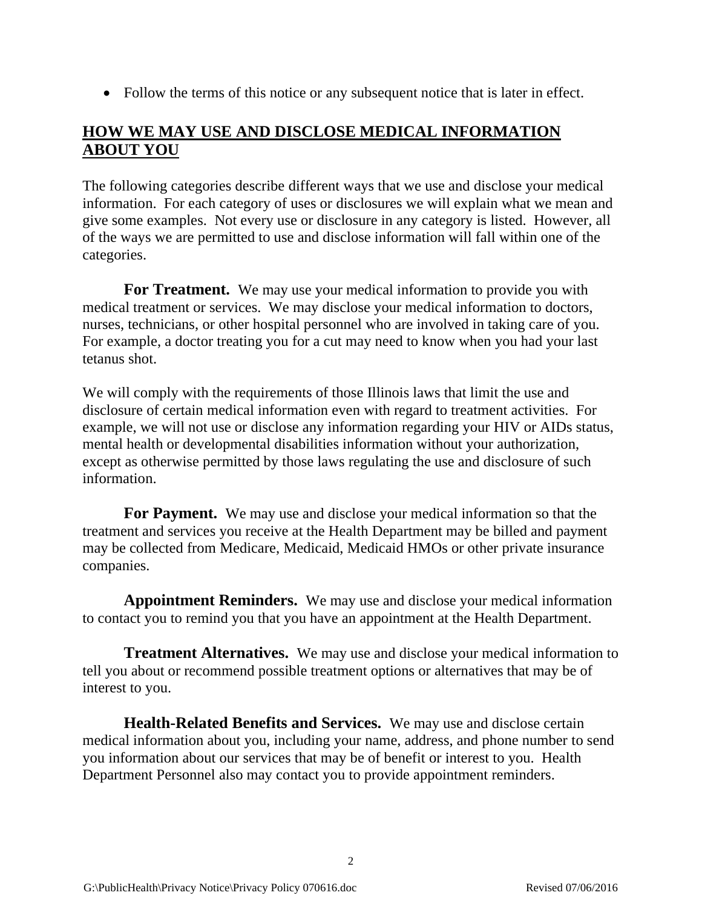• Follow the terms of this notice or any subsequent notice that is later in effect.

### **HOW WE MAY USE AND DISCLOSE MEDICAL INFORMATION ABOUT YOU**

The following categories describe different ways that we use and disclose your medical information. For each category of uses or disclosures we will explain what we mean and give some examples. Not every use or disclosure in any category is listed. However, all of the ways we are permitted to use and disclose information will fall within one of the categories.

**For Treatment.** We may use your medical information to provide you with medical treatment or services. We may disclose your medical information to doctors, nurses, technicians, or other hospital personnel who are involved in taking care of you. For example, a doctor treating you for a cut may need to know when you had your last tetanus shot.

We will comply with the requirements of those Illinois laws that limit the use and disclosure of certain medical information even with regard to treatment activities. For example, we will not use or disclose any information regarding your HIV or AIDs status, mental health or developmental disabilities information without your authorization, except as otherwise permitted by those laws regulating the use and disclosure of such information.

**For Payment.** We may use and disclose your medical information so that the treatment and services you receive at the Health Department may be billed and payment may be collected from Medicare, Medicaid, Medicaid HMOs or other private insurance companies.

**Appointment Reminders.** We may use and disclose your medical information to contact you to remind you that you have an appointment at the Health Department.

**Treatment Alternatives.** We may use and disclose your medical information to tell you about or recommend possible treatment options or alternatives that may be of interest to you.

**Health-Related Benefits and Services.** We may use and disclose certain medical information about you, including your name, address, and phone number to send you information about our services that may be of benefit or interest to you. Health Department Personnel also may contact you to provide appointment reminders.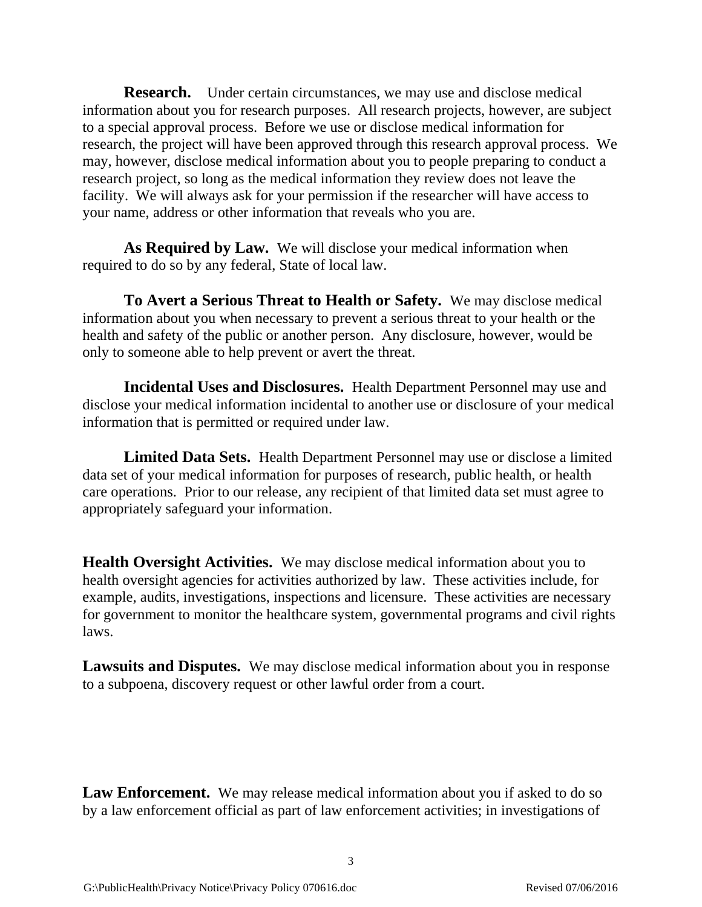**Research.** Under certain circumstances, we may use and disclose medical information about you for research purposes. All research projects, however, are subject to a special approval process. Before we use or disclose medical information for research, the project will have been approved through this research approval process. We may, however, disclose medical information about you to people preparing to conduct a research project, so long as the medical information they review does not leave the facility. We will always ask for your permission if the researcher will have access to your name, address or other information that reveals who you are.

**As Required by Law.** We will disclose your medical information when required to do so by any federal, State of local law.

**To Avert a Serious Threat to Health or Safety.** We may disclose medical information about you when necessary to prevent a serious threat to your health or the health and safety of the public or another person. Any disclosure, however, would be only to someone able to help prevent or avert the threat.

**Incidental Uses and Disclosures.** Health Department Personnel may use and disclose your medical information incidental to another use or disclosure of your medical information that is permitted or required under law.

**Limited Data Sets.** Health Department Personnel may use or disclose a limited data set of your medical information for purposes of research, public health, or health care operations. Prior to our release, any recipient of that limited data set must agree to appropriately safeguard your information.

**Health Oversight Activities.** We may disclose medical information about you to health oversight agencies for activities authorized by law. These activities include, for example, audits, investigations, inspections and licensure. These activities are necessary for government to monitor the healthcare system, governmental programs and civil rights laws.

**Lawsuits and Disputes.** We may disclose medical information about you in response to a subpoena, discovery request or other lawful order from a court.

Law Enforcement. We may release medical information about you if asked to do so by a law enforcement official as part of law enforcement activities; in investigations of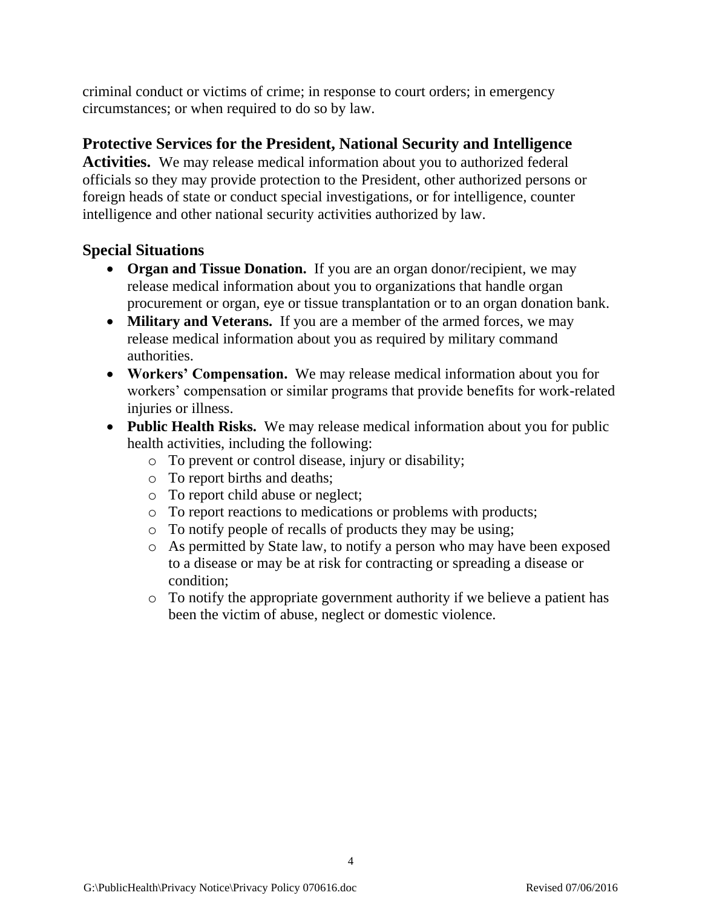criminal conduct or victims of crime; in response to court orders; in emergency circumstances; or when required to do so by law.

#### **Protective Services for the President, National Security and Intelligence**

**Activities.** We may release medical information about you to authorized federal officials so they may provide protection to the President, other authorized persons or foreign heads of state or conduct special investigations, or for intelligence, counter intelligence and other national security activities authorized by law.

#### **Special Situations**

- **Organ and Tissue Donation.** If you are an organ donor/recipient, we may release medical information about you to organizations that handle organ procurement or organ, eye or tissue transplantation or to an organ donation bank.
- **Military and Veterans.** If you are a member of the armed forces, we may release medical information about you as required by military command authorities.
- **Workers' Compensation.** We may release medical information about you for workers' compensation or similar programs that provide benefits for work-related injuries or illness.
- **Public Health Risks.** We may release medical information about you for public health activities, including the following:
	- o To prevent or control disease, injury or disability;
	- o To report births and deaths;
	- o To report child abuse or neglect;
	- o To report reactions to medications or problems with products;
	- o To notify people of recalls of products they may be using;
	- o As permitted by State law, to notify a person who may have been exposed to a disease or may be at risk for contracting or spreading a disease or condition;
	- o To notify the appropriate government authority if we believe a patient has been the victim of abuse, neglect or domestic violence.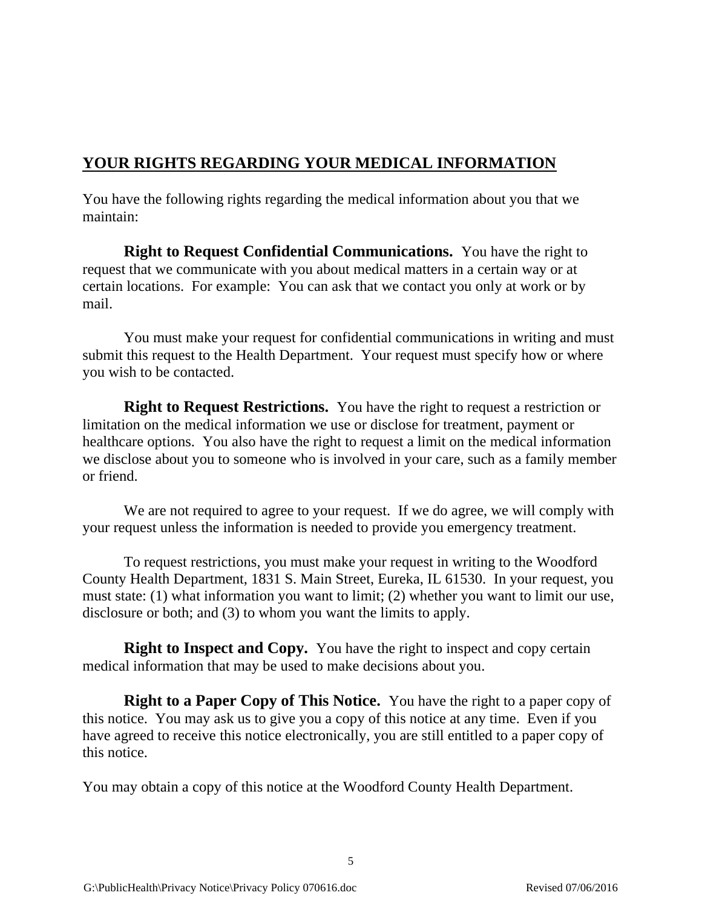### **YOUR RIGHTS REGARDING YOUR MEDICAL INFORMATION**

You have the following rights regarding the medical information about you that we maintain:

**Right to Request Confidential Communications.** You have the right to request that we communicate with you about medical matters in a certain way or at certain locations. For example: You can ask that we contact you only at work or by mail.

You must make your request for confidential communications in writing and must submit this request to the Health Department. Your request must specify how or where you wish to be contacted.

**Right to Request Restrictions.** You have the right to request a restriction or limitation on the medical information we use or disclose for treatment, payment or healthcare options. You also have the right to request a limit on the medical information we disclose about you to someone who is involved in your care, such as a family member or friend.

We are not required to agree to your request. If we do agree, we will comply with your request unless the information is needed to provide you emergency treatment.

To request restrictions, you must make your request in writing to the Woodford County Health Department, 1831 S. Main Street, Eureka, IL 61530. In your request, you must state: (1) what information you want to limit; (2) whether you want to limit our use, disclosure or both; and (3) to whom you want the limits to apply.

**Right to Inspect and Copy.** You have the right to inspect and copy certain medical information that may be used to make decisions about you.

**Right to a Paper Copy of This Notice.** You have the right to a paper copy of this notice. You may ask us to give you a copy of this notice at any time. Even if you have agreed to receive this notice electronically, you are still entitled to a paper copy of this notice.

5

You may obtain a copy of this notice at the Woodford County Health Department.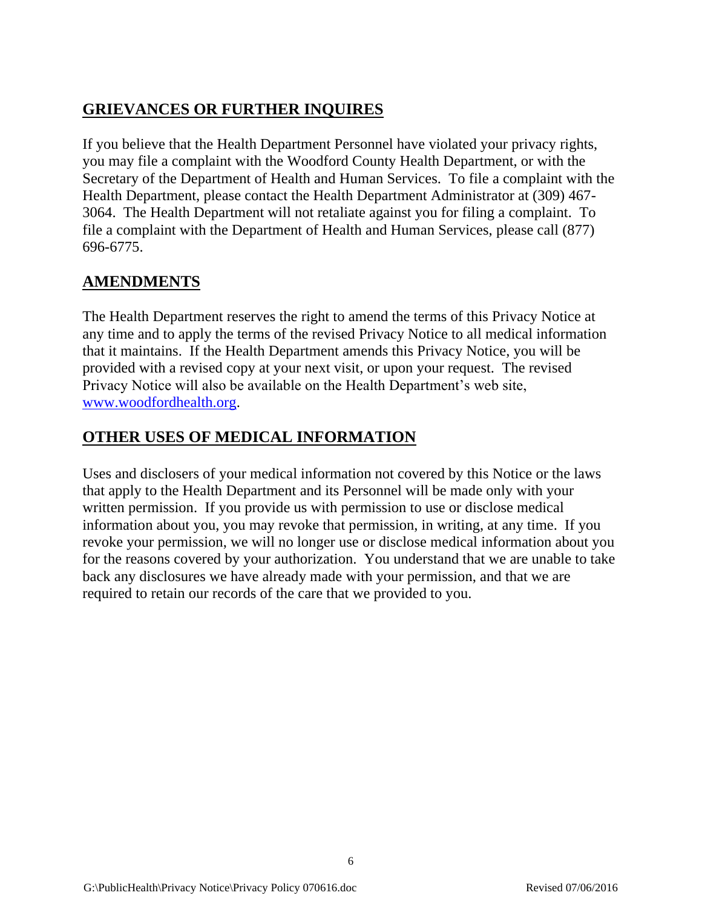# **GRIEVANCES OR FURTHER INQUIRES**

If you believe that the Health Department Personnel have violated your privacy rights, you may file a complaint with the Woodford County Health Department, or with the Secretary of the Department of Health and Human Services. To file a complaint with the Health Department, please contact the Health Department Administrator at (309) 467- 3064. The Health Department will not retaliate against you for filing a complaint. To file a complaint with the Department of Health and Human Services, please call (877) 696-6775.

### **AMENDMENTS**

The Health Department reserves the right to amend the terms of this Privacy Notice at any time and to apply the terms of the revised Privacy Notice to all medical information that it maintains. If the Health Department amends this Privacy Notice, you will be provided with a revised copy at your next visit, or upon your request. The revised Privacy Notice will also be available on the Health Department's web site, [www.woodfordhealth.org.](http://www.woodfordhealth.org/)

### **OTHER USES OF MEDICAL INFORMATION**

Uses and disclosers of your medical information not covered by this Notice or the laws that apply to the Health Department and its Personnel will be made only with your written permission. If you provide us with permission to use or disclose medical information about you, you may revoke that permission, in writing, at any time. If you revoke your permission, we will no longer use or disclose medical information about you for the reasons covered by your authorization. You understand that we are unable to take back any disclosures we have already made with your permission, and that we are required to retain our records of the care that we provided to you.